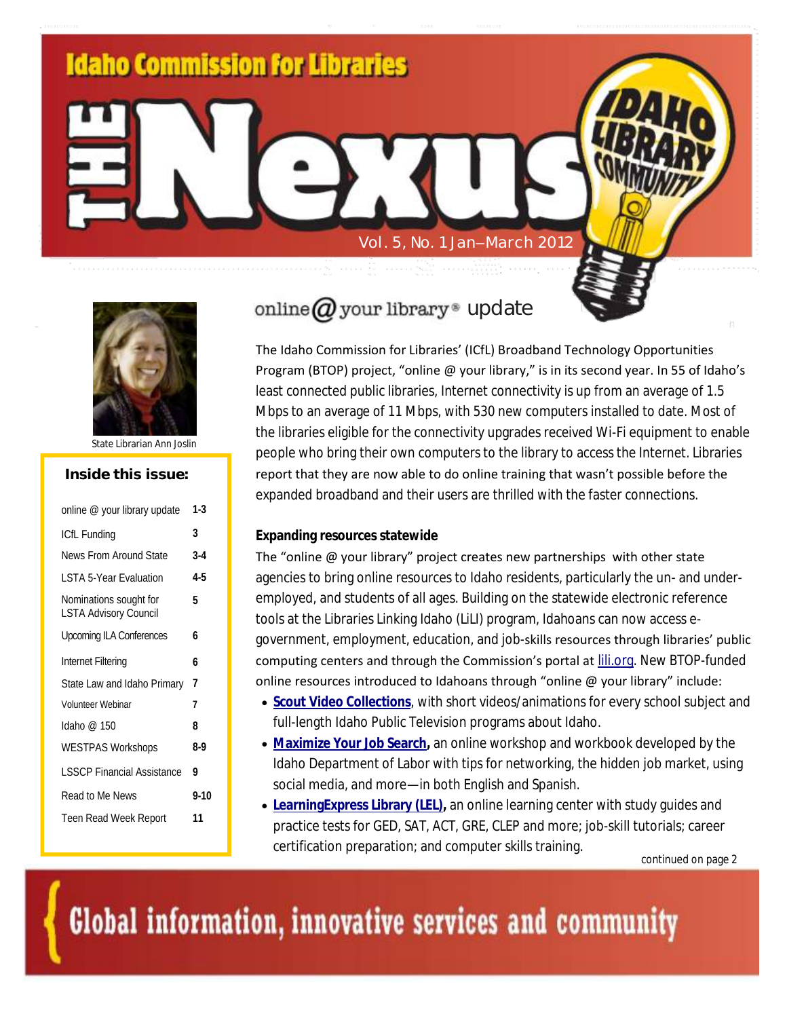



State Librarian Ann Joslin

## **Inside this issue:**

| online @ your library update                           | $1-3$    |
|--------------------------------------------------------|----------|
| ICfL Funding                                           | 3        |
| News From Around State                                 | $3-4$    |
| I STA 5-Year Evaluation                                | 4-5      |
| Nominations sought for<br><b>LSTA Advisory Council</b> | 5        |
| Upcoming ILA Conferences                               | 6        |
| Internet Filtering                                     | 6        |
| State Law and Idaho Primary                            | 7        |
| Volunteer Webinar                                      | 7        |
| Idaho @ 150                                            | 8        |
| <b>WESTPAS Workshops</b>                               | 8-9      |
| <b>LSSCP Financial Assistance</b>                      | 9        |
| Read to Me News                                        | $9 - 10$ |
| Teen Read Week Report                                  | 11       |
|                                                        |          |

# online  $Q$  your library® update

The Idaho Commission for Libraries' (ICfL) Broadband Technology Opportunities Program (BTOP) project, "online @ your library," is in its second year. In 55 of Idaho's least connected public libraries, Internet connectivity is up from an average of 1.5 Mbps to an average of 11 Mbps, with 530 new computers installed to date. Most of the libraries eligible for the connectivity upgrades received Wi-Fi equipment to enable people who bring their own computers to the library to access the Internet. Libraries report that they are now able to do online training that wasn't possible before the expanded broadband and their users are thrilled with the faster connections.

#### **Expanding resources statewide**

The "online @ your library" project creates new partnerships with other state agencies to bring online resources to Idaho residents, particularly the un- and underemployed, and students of all ages. Building on the statewide electronic reference tools at the Libraries Linking Idaho (LiLI) program, Idahoans can now access egovernment, employment, education, and job-skills resources through libraries' public computing centers and through the Commission's portal at [lili.org.](http://lili.org/) New BTOP-funded online resources introduced to Idahoans through "online @ your library" include:

- **[Scout Video Collections](http://scout.lili.org/)**, with short videos/animations for every school subject and full-length Idaho Public Television programs about Idaho.
- **[Maximize Your Job Search,](http://labor.idaho.gov/dnn/idl/JobSeekers/JobSearch/tabid/661/Default.aspx)** an online workshop and workbook developed by the Idaho Department of Labor with tips for networking, the hidden job market, using social media, and more—in both English and Spanish.
- **Learning Express Library (LEL), an online learning center with study guides and** practice tests for GED, SAT, ACT, GRE, CLEP and more; job-skill tutorials; career certification preparation; and computer skills training.

continued on page 2

Global information, innovative services and community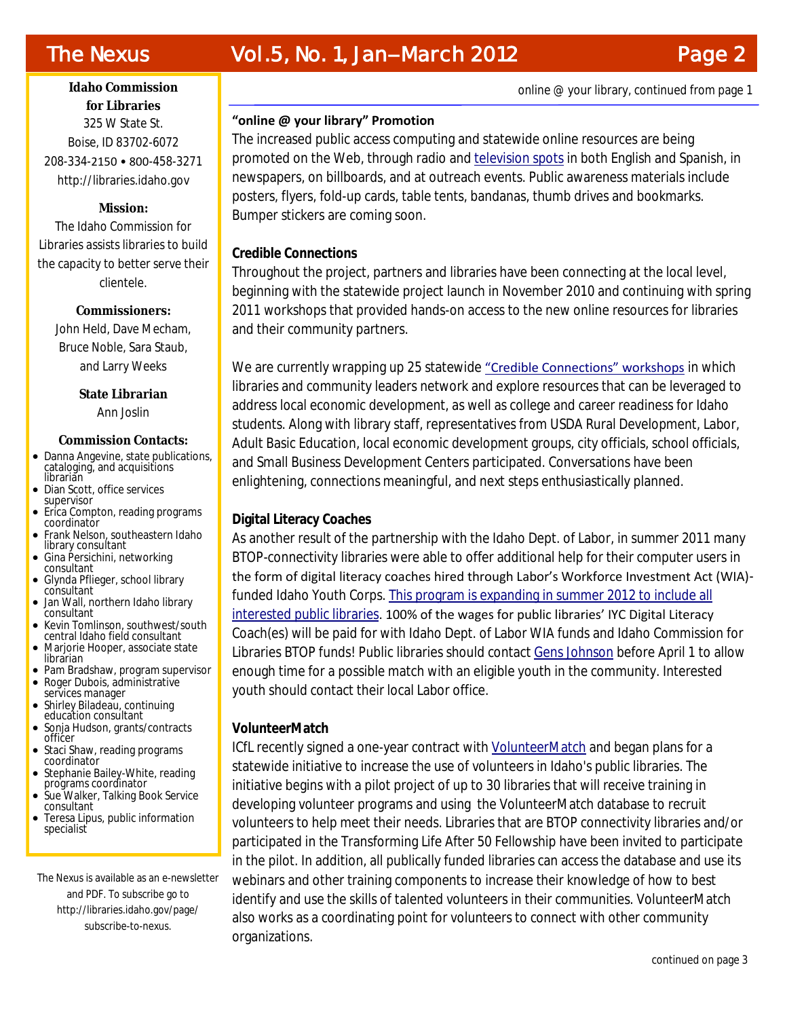### **Idaho Commission for Libraries** 325 W State St. Boise, ID 83702-6072 208-334-2150 • 800-458-3271 http://libraries.idaho.gov

#### **Mission:**

The Idaho Commission for Libraries assists libraries to build the capacity to better serve their clientele.

> **Commissioners:** John Held, Dave Mecham, Bruce Noble, Sara Staub, and Larry Weeks

> > **State Librarian** Ann Joslin

#### **Commission Contacts:**

- Danna Angevine, state publications, cataloging, and acquisitions librarian
- Dian Scott, office services supervisor
- Erica Compton, reading programs coordinator
- Frank Nelson, southeastern Idaho library consultant
- Gina Persichini, networking consultant
- Glynda Pflieger, school library consultant
- Jan Wall, northern Idaho library consultant
- Kevin Tomlinson, southwest/south central Idaho field consultant
- Marjorie Hooper, associate state librarian
- Pam Bradshaw, program supervisor
- Roger Dubois, administrative services manager
- Shirley Biladeau, continuing education consultant
- Sonja Hudson, grants/contracts officer
- Staci Shaw, reading programs coordinator
- Stephanie Bailey-White, reading programs coordinator
- Sue Walker, Talking Book Service consultant
- Teresa Lipus, public information specialist

The Nexus is available as an e-newsletter and PDF. To subscribe go to http://libraries.idaho.gov/page/ subscribe-to-nexus.

## **"online @ your library" Promotion**

The increased public access computing and statewide online resources are being promoted on the Web, through radio and [television spots](http://libraries.idaho.gov/btop-psas) in both English and Spanish, in newspapers, on billboards, and at outreach events. Public awareness materials include posters, flyers, fold-up cards, table tents, bandanas, thumb drives and bookmarks. Bumper stickers are coming soon.

#### **Credible Connections**

Throughout the project, partners and libraries have been connecting at the local level, beginning with the statewide project launch in November 2010 and continuing with spring 2011 workshops that provided hands-on access to the new online resources for libraries and their community partners.

We are currently wrapping up 25 statewide ["Credible Connections" workshops](http://libraries.idaho.gov/credibleconnections) in which libraries and community leaders network and explore resources that can be leveraged to address local economic development, as well as college and career readiness for Idaho students. Along with library staff, representatives from USDA Rural Development, Labor, Adult Basic Education, local economic development groups, city officials, school officials, and Small Business Development Centers participated. Conversations have been enlightening, connections meaningful, and next steps enthusiastically planned.

### **Digital Literacy Coaches**

As another result of the partnership with the Idaho Dept. of Labor, in summer 2011 many BTOP-connectivity libraries were able to offer additional help for their computer users in the form of digital literacy coaches hired through Labor's Workforce Investment Act (WIA) funded Idaho Youth Corps. [This program is expanding in summer 2012 to include all](http://libraries.idaho.gov/blogs/teresalipus/idaho-youth-corps-digital-literacy-coach-program-open-to-all-public-libraries-2012)  [interested public libraries.](http://libraries.idaho.gov/blogs/teresalipus/idaho-youth-corps-digital-literacy-coach-program-open-to-all-public-libraries-2012) 100% of the wages for public libraries' IYC Digital Literacy Coach(es) will be paid for with Idaho Dept. of Labor WIA funds and Idaho Commission for Libraries BTOP funds! Public libraries should contact [Gens Johnson](mailto:gensjohnson@gmail.com) before April 1 to allow enough time for a possible match with an eligible youth in the community. Interested youth should contact their local Labor office.

### **VolunteerMatch**

ICfL recently signed a one-year contract with [VolunteerMatch](http://www.volunteermatch.org/) and began plans for a statewide initiative to increase the use of volunteers in Idaho's public libraries. The initiative begins with a pilot project of up to 30 libraries that will receive training in developing volunteer programs and using the VolunteerMatch database to recruit volunteers to help meet their needs. Libraries that are BTOP connectivity libraries and/or participated in the Transforming Life After 50 Fellowship have been invited to participate in the pilot. In addition, all publically funded libraries can access the database and use its webinars and other training components to increase their knowledge of how to best identify and use the skills of talented volunteers in their communities. VolunteerMatch also works as a coordinating point for volunteers to connect with other community organizations.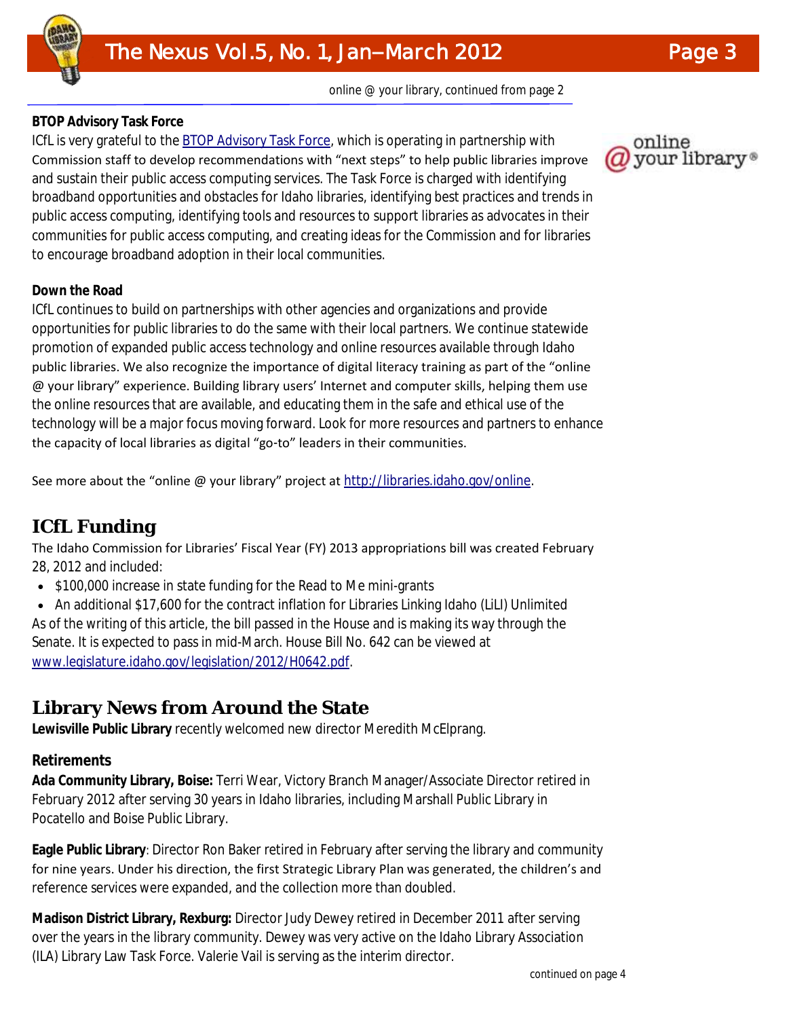## **BTOP Advisory Task Force**

ICfL is very grateful to the **BTOP Advisory Task Force**, which is operating in partnership with Commission staff to develop recommendations with "next steps" to help public libraries improve and sustain their public access computing services. The Task Force is charged with identifying broadband opportunities and obstacles for Idaho libraries, identifying best practices and trends in public access computing, identifying tools and resources to support libraries as advocates in their communities for public access computing, and creating ideas for the Commission and for libraries to encourage broadband adoption in their local communities.

## **Down the Road**

ICfL continues to build on partnerships with other agencies and organizations and provide opportunities for public libraries to do the same with their local partners. We continue statewide promotion of expanded public access technology and online resources available through Idaho public libraries. We also recognize the importance of digital literacy training as part of the "online @ your library" experience. Building library users' Internet and computer skills, helping them use the online resources that are available, and educating them in the safe and ethical use of the technology will be a major focus moving forward. Look for more resources and partners to enhance the capacity of local libraries as digital "go-to" leaders in their communities.

See more about the "online @ your library" project at [http://libraries.idaho.gov/online.](http://libraries.idaho.gov/online) 

# **ICfL Funding**

The Idaho Commission for Libraries' Fiscal Year (FY) 2013 appropriations bill was created February 28, 2012 and included:

• \$100,000 increase in state funding for the Read to Me mini-grants

• An additional \$17,600 for the contract inflation for Libraries Linking Idaho (LiLI) Unlimited As of the writing of this article, the bill passed in the House and is making its way through the Senate. It is expected to pass in mid-March. House Bill No. 642 can be viewed at [www.legislature.idaho.gov/legislation/2012/H0642.pdf.](http://www.legislature.idaho.gov/legislation/2012/H0642.pdf)

# **Library News from Around the State**

**Lewisville Public Library** recently welcomed new director Meredith McElprang.

## **Retirements**

**Ada Community Library, Boise:** Terri Wear, Victory Branch Manager/Associate Director retired in February 2012 after serving 30 years in Idaho libraries, including Marshall Public Library in Pocatello and Boise Public Library.

**Eagle Public Library***:* Director Ron Baker retired in February after serving the library and community for nine years. Under his direction, the first Strategic Library Plan was generated, the children's and reference services were expanded, and the collection more than doubled.

**Madison District Library, Rexburg:** Director Judy Dewey retired in December 2011 after serving over the years in the library community. Dewey was very active on the Idaho Library Association (ILA) Library Law Task Force. Valerie Vail is serving as the interim director.

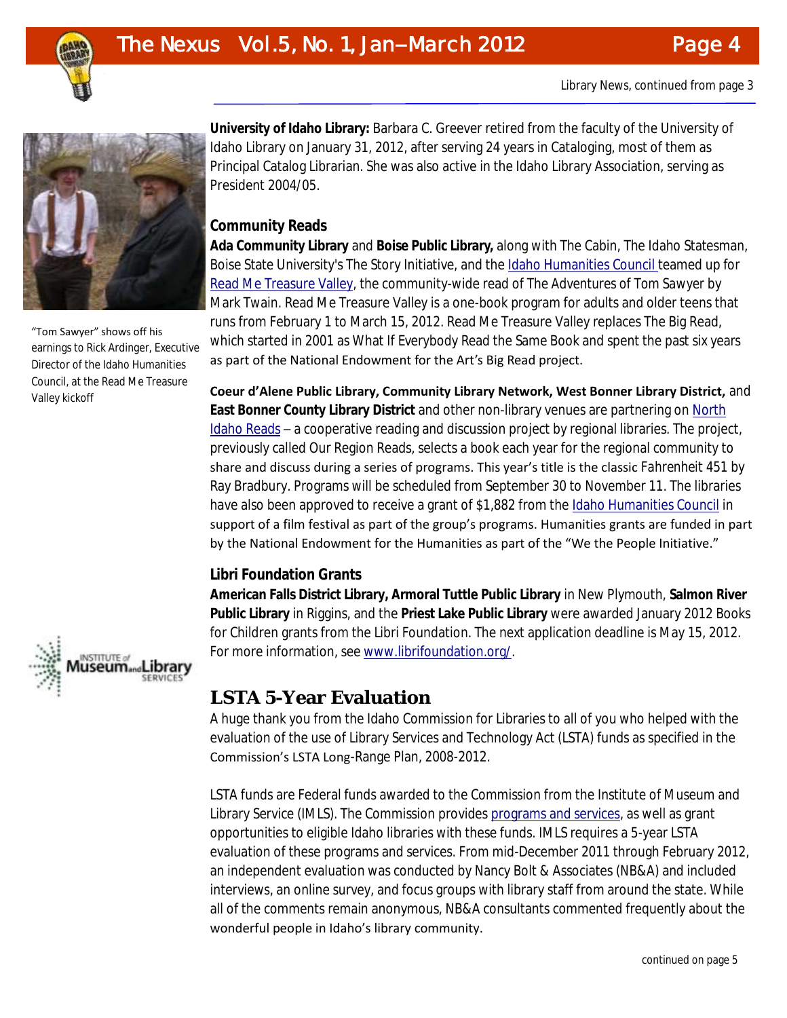



"Tom Sawyer" shows off his earnings to Rick Ardinger, Executive Director of the Idaho Humanities Council, at the Read Me Treasure Valley kickoff



**University of Idaho Library:** Barbara C. Greever retired from the faculty of the University of Idaho Library on January 31, 2012, after serving 24 years in Cataloging, most of them as Principal Catalog Librarian. She was also active in the Idaho Library Association, serving as President 2004/05.

## **Community Reads**

**[Ada Community Library](http://www.adalib.org/)** and **[Boise Public Library,](http://www.boisepubliclibrary.org/default.shtml)** along with [The Cabin,](http://www.thecabinidaho.org/) [The Idaho Statesman,](http://www.idahostatesman.com/) Boise State University's The Story Initiative, and the [Idaho Humanities Council](http://www.idahohumanities.org/) teamed up for [Read Me Treasure Valley,](http://www.readmetv.com/index.html) the community-wide read of *The Adventures of Tom Sawyer* by Mark Twain. Read Me Treasure Valley is a one-book program for adults and older teens that runs from February 1 to March 15, 2012. Read Me Treasure Valley replaces The Big Read, which started in 2001 as What If Everybody Read the Same Book and spent the past six years as part of the National Endowment for the Art's Big Read project.

**Coeur d'Alene Public Library, Community Library Network, West Bonner Library District,** and **East Bonner County Library District** and other non-library venues are partnering on [North](http://www.northidahoreads.blogspot.com/)  [Idaho Reads](http://www.northidahoreads.blogspot.com/) – a cooperative reading and discussion project by regional libraries. The project, previously called Our Region Reads, selects a book each year for the regional community to share and discuss during a series of programs. This year's title is the classic *Fahrenheit 451* by Ray Bradbury. Programs will be scheduled from September 30 to November 11. The libraries have also been approved to receive a grant of \$1,882 from the [Idaho Humanities Council](http://www.idahohumanities.org/) in support of a film festival as part of the group's programs. Humanities grants are funded in part by the National Endowment for the Humanities as part of the "We the People Initiative."

### **Libri Foundation Grants**

**American Falls District Library, Armoral Tuttle Public Library** in New Plymouth, **Salmon River Public Library** in Riggins, and the **Priest Lake Public Library** were awarded January 2012 Books for Children grants from the Libri Foundation. The next application deadline is May 15, 2012. For more information, see [www.librifoundation.org/.](http://www.librifoundation.org/)

## **LSTA 5-Year Evaluation**

A huge thank you from the Idaho Commission for Libraries to all of you who helped with the evaluation of the use of Library Services and Technology Act (LSTA) funds as specified in the Commission's LSTA Long-Range Plan, 2008-2012.

LSTA funds are Federal funds awarded to the Commission from the Institute of Museum and Library Service (IMLS). The Commission provides [programs and services,](http://libraries.idaho.gov/files/LSTAFactSheetJanuary2012.pdf) as well as grant opportunities to eligible Idaho libraries with these funds. IMLS requires a 5-year LSTA evaluation of these programs and services. From mid-December 2011 through February 2012, an independent evaluation was conducted by Nancy Bolt & Associates (NB&A) and included interviews, an online survey, and focus groups with library staff from around the state. While all of the comments remain anonymous, NB&A consultants commented frequently about the wonderful people in Idaho's library community.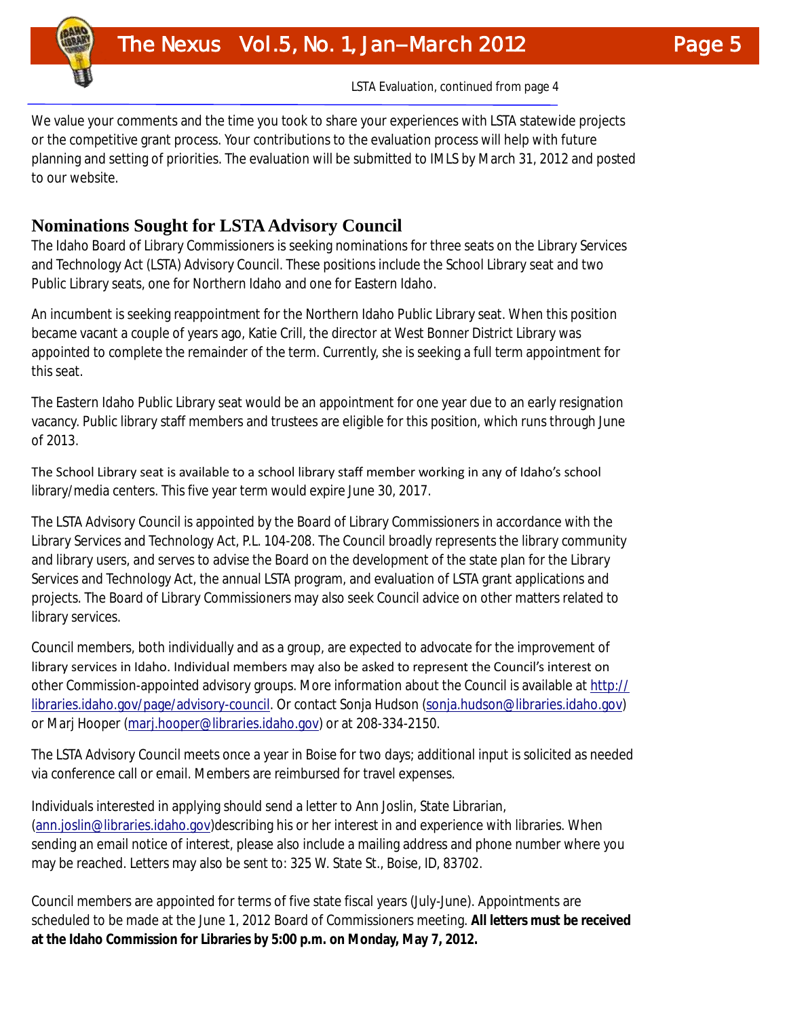LSTA Evaluation, continued from page 4

We value your comments and the time you took to share your experiences with LSTA statewide projects or the competitive grant process. Your contributions to the evaluation process will help with future planning and setting of priorities. The evaluation will be submitted to IMLS by March 31, 2012 and posted to our website.

## **Nominations Sought for LSTA Advisory Council**

<u>Volume 1, Issue 1, Issue 1, Issue 1, Issue 1, Issue 1, Issue 1, Issue 1, Issue 1, Issue 1, Issue 1, Issue 1, I</u>

The Idaho Board of Library Commissioners is seeking nominations for three seats on the Library Services and Technology Act (LSTA) Advisory Council. These positions include the School Library seat and two Public Library seats, one for Northern Idaho and one for Eastern Idaho.

An incumbent is seeking reappointment for the Northern Idaho Public Library seat. When this position became vacant a couple of years ago, Katie Crill, the director at West Bonner District Library was appointed to complete the remainder of the term. Currently, she is seeking a full term appointment for this seat.

The Eastern Idaho Public Library seat would be an appointment for one year due to an early resignation vacancy. Public library staff members and trustees are eligible for this position, which runs through June of 2013.

The School Library seat is available to a school library staff member working in any of Idaho's school library/media centers. This five year term would expire June 30, 2017.

The LSTA Advisory Council is appointed by the Board of Library Commissioners in accordance with the Library Services and Technology Act, P.L. 104-208. The Council broadly represents the library community and library users, and serves to advise the Board on the development of the state plan for the Library Services and Technology Act, the annual LSTA program, and evaluation of LSTA grant applications and projects. The Board of Library Commissioners may also seek Council advice on other matters related to library services.

Council members, both individually and as a group, are expected to advocate for the improvement of library services in Idaho. Individual members may also be asked to represent the Council's interest on other Commission-appointed advisory groups. More information about the Council is available at [http://](http://libraries.idaho.gov/page/advisory-council) [libraries.idaho.gov/page/advisory-council.](http://libraries.idaho.gov/page/advisory-council) Or contact Sonja Hudson ([sonja.hudson@libraries.idaho.gov\)](mailto:sonja.hudson@libraries.idaho.gov)  or Marj Hooper ([marj.hooper@libraries.idaho.gov\)](mailto:marj.hooper@libraries.idaho.gov) or at 208-334-2150.

The LSTA Advisory Council meets once a year in Boise for two days; additional input is solicited as needed via conference call or email. Members are reimbursed for travel expenses.

Individuals interested in applying should send a letter to Ann Joslin, State Librarian, ([ann.joslin@libraries.idaho.gov\)](mailto:ann.joslin@libraries.idaho.gov)describing his or her interest in and experience with libraries. When sending an email notice of interest, please also include a mailing address and phone number where you may be reached. Letters may also be sent to: 325 W. State St., Boise, ID, 83702.

Council members are appointed for terms of five state fiscal years (July-June). Appointments are scheduled to be made at the June 1, 2012 Board of Commissioners meeting. **All letters must be received at the Idaho Commission for Libraries by 5:00 p.m. on Monday, May 7, 2012.**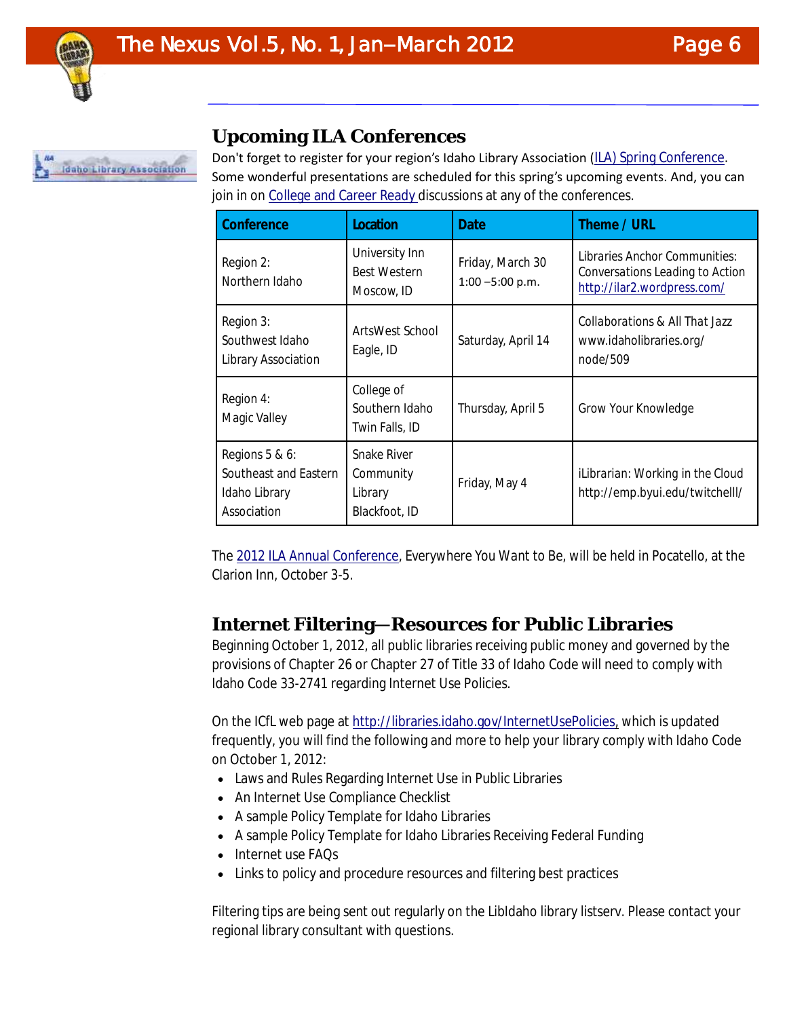

## **Upcoming ILA Conferences**

Don't forget to register for your region's Idaho Library Association (ILA) Spring Conference. Some wonderful presentations are scheduled for this spring's upcoming events. And, you can join in on [College and Career Ready d](http://libraries.idaho.gov/collegeandcareerready)iscussions at any of the conferences.

| Conference                                                              | Location                                             | Date                                   | Theme / URL                                                                                     |
|-------------------------------------------------------------------------|------------------------------------------------------|----------------------------------------|-------------------------------------------------------------------------------------------------|
| Region 2:<br>Northern Idaho                                             | University Inn<br><b>Best Western</b><br>Moscow, ID  | Friday, March 30<br>$1:00 - 5:00 p.m.$ | Libraries Anchor Communities:<br>Conversations Leading to Action<br>http://ilar2.wordpress.com/ |
| Region 3:<br>Southwest Idaho<br>Library Association                     | ArtsWest School<br>Eagle, ID                         | Saturday, April 14                     | Collaborations & All That Jazz<br>www.idaholibraries.org/<br>node/509                           |
| Region 4:<br>Magic Valley                                               | College of<br>Southern Idaho<br>Twin Falls, ID       | Thursday, April 5                      | Grow Your Knowledge                                                                             |
| Regions 5 & 6:<br>Southeast and Eastern<br>Idaho Library<br>Association | Snake River<br>Community<br>Library<br>Blackfoot, ID | Friday, May 4                          | iLibrarian: Working in the Cloud<br>http://emp.byui.edu/twitchelll/                             |

The [2012 ILA Annual Conference,](http://www.marshallpl.org/ila2012/index.html) *Everywhere You Want to Be,* will be held in Pocatello, at the Clarion Inn, October 3-5.

## **Internet Filtering—Resources for Public Libraries**

Beginning October 1, 2012, all public libraries receiving public money and governed by the provisions of Chapter 26 or Chapter 27 of Title 33 of Idaho Code will need to comply with Idaho Code 33-2741 regarding Internet Use Policies.

On the ICfL web page at [http://libraries.idaho.gov/InternetUsePolicies,](http://libraries.idaho.gov/InternetUsePolicies) which is updated frequently, you will find the following and more to help your library comply with Idaho Code on October 1, 2012:

- Laws and Rules Regarding Internet Use in Public Libraries
- An Internet Use Compliance Checklist
- A sample Policy Template for Idaho Libraries
- A sample Policy Template for Idaho Libraries Receiving Federal Funding
- Internet use FAQs
- Links to policy and procedure resources and filtering best practices

Filtering tips are being sent out regularly on the LibIdaho library listserv. Please contact your regional library consultant with questions.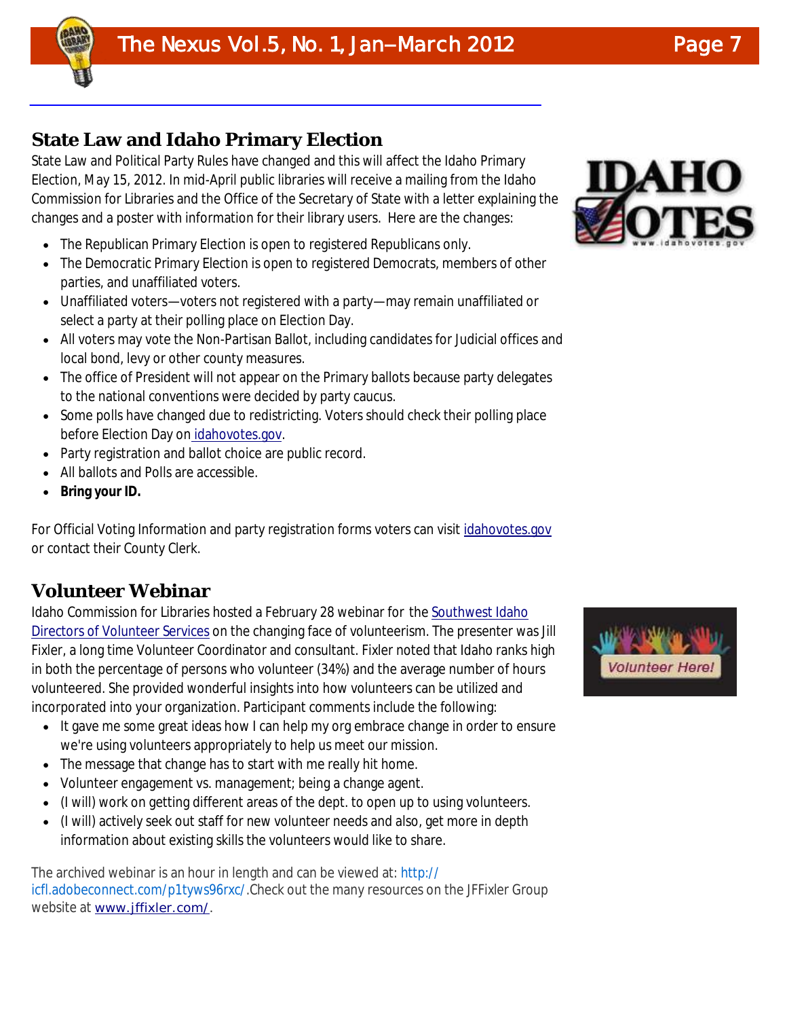

Volume 1, Issue 1

# **State Law and Idaho Primary Election**

State Law and Political Party Rules have changed and this will affect the Idaho Primary Election, May 15, 2012. In mid-April public libraries will receive a mailing from the Idaho Commission for Libraries and the Office of the Secretary of State with a letter explaining the changes and a poster with information for their library users. Here are the changes:

- The Republican Primary Election is open to registered Republicans only.
- The Democratic Primary Election is open to registered Democrats, members of other parties, and unaffiliated voters.
- Unaffiliated voters—voters not registered with a party—may remain unaffiliated or select a party at their polling place on Election Day.
- All voters may vote the Non-Partisan Ballot, including candidates for Judicial offices and local bond, levy or other county measures.
- The office of President will not appear on the Primary ballots because party delegates to the national conventions were decided by party caucus.
- Some polls have changed due to redistricting. Voters should check their polling place before Election Day on [idahovotes.gov.](http://idahovotes.gov/)
- Party registration and ballot choice are public record.
- All ballots and Polls are accessible.
- **Bring your ID.**

For Official Voting Information and party registration forms voters can visit *[idahovotes.gov](http://idahovotes.gov/)* or contact their County Clerk.

## **Volunteer Webinar**

Idaho Commission for Libraries hosted a February 28 webinar for the [Southwest Idaho](http://swidovs.wordpress.com/)  [Directors of Volunteer Services](http://swidovs.wordpress.com/) on the changing face of volunteerism. The presenter was Jill Fixler, a long time Volunteer Coordinator and consultant. Fixler noted that Idaho ranks high in both the percentage of persons who volunteer (34%) and the average number of hours volunteered. She provided wonderful insights into how volunteers can be utilized and incorporated into your organization. Participant comments include the following:

- It gave me some great ideas how I can help my org embrace change in order to ensure we're using volunteers appropriately to help us meet our mission.
- The message that change has to start with me really hit home.
- Volunteer engagement vs. management; being a change agent.
- (I will) work on getting different areas of the dept. to open up to using volunteers.
- (I will) actively seek out staff for new volunteer needs and also, get more in depth information about existing skills the volunteers would like to share.

The archived webinar is an hour in length and can be viewed at: [http://](http://icfl.adobeconnect.com/p1tyws96rxc/) [icfl.adobeconnect.com/p1tyws96rxc/.](http://icfl.adobeconnect.com/p1tyws96rxc/)Check out the many resources on the JFFixler Group website at [www.jffixler.com/.](http://www.jffixler.com/)



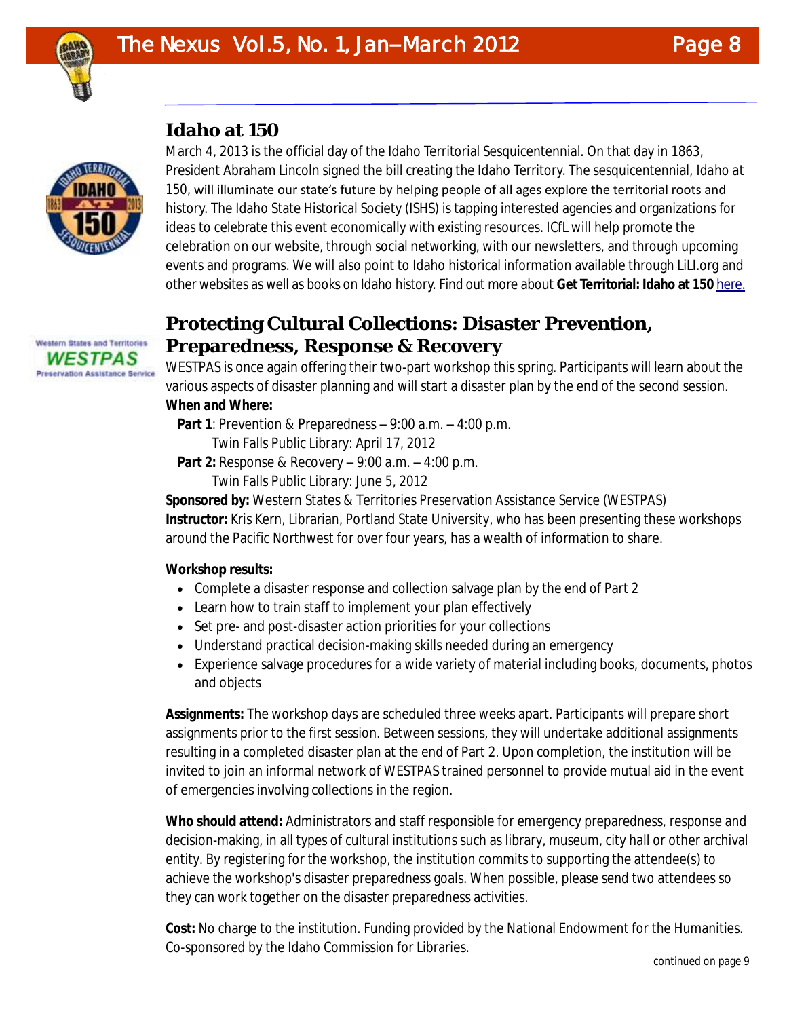

## **Idaho at 150**



March 4, 2013 is the official day of the Idaho Territorial Sesquicentennial. On that day in 1863, President Abraham Lincoln signed the bill creating the Idaho Territory. The sesquicentennial, *Idaho at 150,* will illuminate our state's future by helping people of all ages explore the territorial roots and history. The Idaho State Historical Society (ISHS) is tapping interested agencies and organizations for ideas to celebrate this event economically with existing resources. ICfL will help promote the celebration on our website, through social networking, with our newsletters, and through upcoming events and programs. We will also point to Idaho historical information available through LiLI.org and other websites as well as books on Idaho history. Find out more about **Get Territorial: Idaho at 150** [here.](http://history.idaho.gov/idaho-150)

# **Protecting Cultural Collections: Disaster Prevention, Preparedness, Response & Recovery**

WESTPAS is once again offering their two-part workshop this spring. Participants will learn about the various aspects of disaster planning and will start a disaster plan by the end of the second session. **When and Where:**

- **Part 1**: Prevention & Preparedness 9:00 a.m. 4:00 p.m.
	- Twin Falls Public Library: April 17, 2012
- **Part 2:** Response & Recovery 9:00 a.m. 4:00 p.m. Twin Falls Public Library: June 5, 2012

**Sponsored by:** Western States & Territories Preservation Assistance Service (WESTPAS) **Instructor:** Kris Kern, Librarian, Portland State University, who has been presenting these workshops around the Pacific Northwest for over four years, has a wealth of information to share.

**Workshop results:**

- Complete a disaster response and collection salvage plan by the end of Part 2
- Learn how to train staff to implement your plan effectively
- Set pre- and post-disaster action priorities for your collections
- Understand practical decision-making skills needed during an emergency
- Experience salvage procedures for a wide variety of material including books, documents, photos and objects

**Assignments:** The workshop days are scheduled three weeks apart. Participants will prepare short assignments prior to the first session. Between sessions, they will undertake additional assignments resulting in a completed disaster plan at the end of Part 2. Upon completion, the institution will be invited to join an informal network of WESTPAS trained personnel to provide mutual aid in the event of emergencies involving collections in the region.

**Who should attend:** Administrators and staff responsible for emergency preparedness, response and decision-making, in all types of cultural institutions such as library, museum, city hall or other archival entity. By registering for the workshop, the institution commits to supporting the attendee(s) to achieve the workshop's disaster preparedness goals. When possible, please send two attendees so they can work together on the disaster preparedness activities.

**Cost:** No charge to the institution. Funding provided by the National Endowment for the Humanities. Co-sponsored by the Idaho Commission for Libraries.

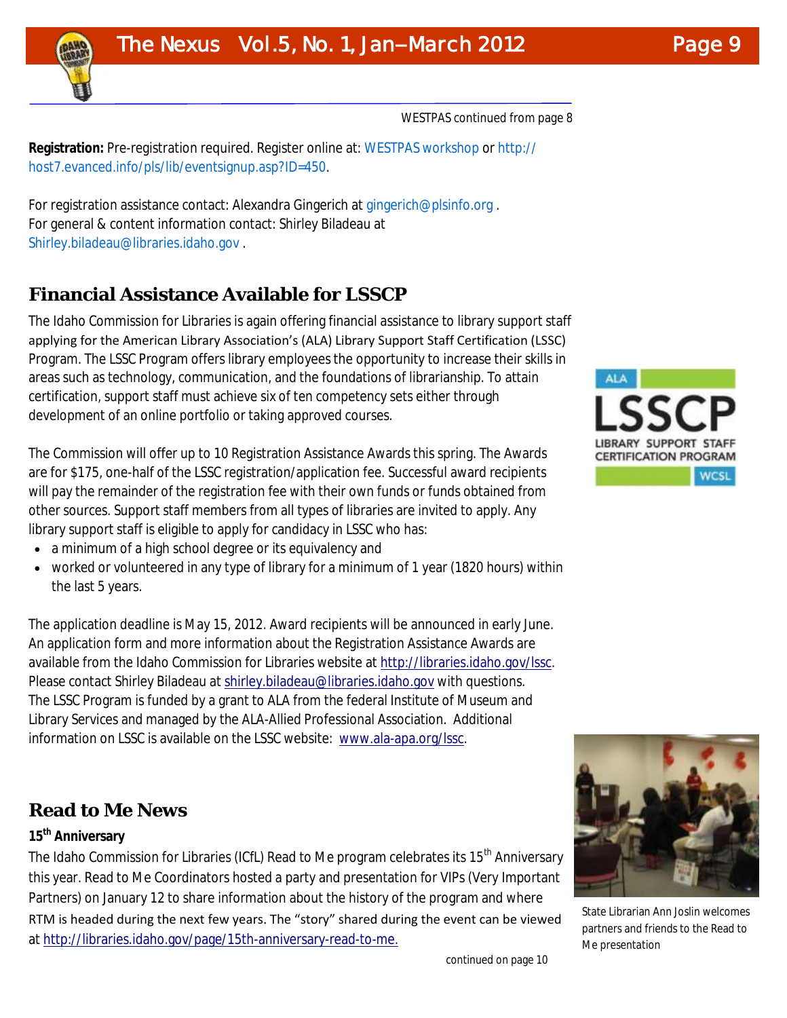

WESTPAS continued from page 8

**Registration:** Pre-registration required. Register online at: [WESTPAS workshop](http://host7.evanced.info/pls/lib/eventsignup.asp?ID=450) or [http://](http://host7.evanced.info/pls/lib/eventsignup.asp?ID=450) [host7.evanced.info/pls/lib/eventsignup.asp?ID=450.](http://host7.evanced.info/pls/lib/eventsignup.asp?ID=450)

For registration assistance contact: Alexandra Gingerich at [gingerich@plsinfo.org](mailto:gingerich@plsinfo.org) . For general & content information contact: Shirley Biladeau at [Shirley.biladeau@libraries.idaho.gov](mailto:Shirley.biladeau@libraries.idaho.gov) .

# **Financial Assistance Available for LSSCP**

The Idaho Commission for Libraries is again offering financial assistance to library support staff applying for the American Library Association's (ALA) Library Support Staff Certification (LSSC) Program. The LSSC Program offers library employees the opportunity to increase their skills in areas such as technology, communication, and the foundations of librarianship. To attain certification, support staff must achieve six of ten competency sets either through development of an online portfolio or taking approved courses.

The Commission will offer up to 10 Registration Assistance Awards this spring. The Awards are for \$175, one-half of the LSSC registration/application fee. Successful award recipients will pay the remainder of the registration fee with their own funds or funds obtained from other sources. Support staff members from all types of libraries are invited to apply. Any library support staff is eligible to apply for candidacy in LSSC who has:

- a minimum of a high school degree or its equivalency and
- worked or volunteered in any type of library for a minimum of 1 year (1820 hours) within the last 5 years.

The application deadline is May 15, 2012. Award recipients will be announced in early June. An application form and more information about the Registration Assistance Awards are available from the Idaho Commission for Libraries website at [http://libraries.idaho.gov/lssc.](http://libraries.idaho.gov/lssc)  Please contact Shirley Biladeau at [shirley.biladeau@libraries.idaho.gov](mailto:shirley.biladeau@libraries.idaho.gov) with questions. The LSSC Program is funded by a grant to ALA from the federal Institute of Museum and Library Services and managed by the ALA-Allied Professional Association. Additional information on LSSC is available on the LSSC website: [www.ala-apa.org/lssc.](http://www.ala-apa.org/lssc)

## **Read to Me News**

## **15th Anniversary**

The Idaho Commission for Libraries (ICfL) Read to Me program celebrates its 15<sup>th</sup> Anniversary this year. Read to Me Coordinators hosted a party and presentation for VIPs (Very Important Partners) on January 12 to share information about the history of the program and where RTM is headed during the next few years. The "story" shared during the event can be viewed at [http://libraries.idaho.gov/page/15th-anniversary-read-to-me.](http://libraries.idaho.gov/page/15th-anniversary-read-to-me)





State Librarian Ann Joslin welcomes partners and friends to the Read to Me presentation

continued on page 10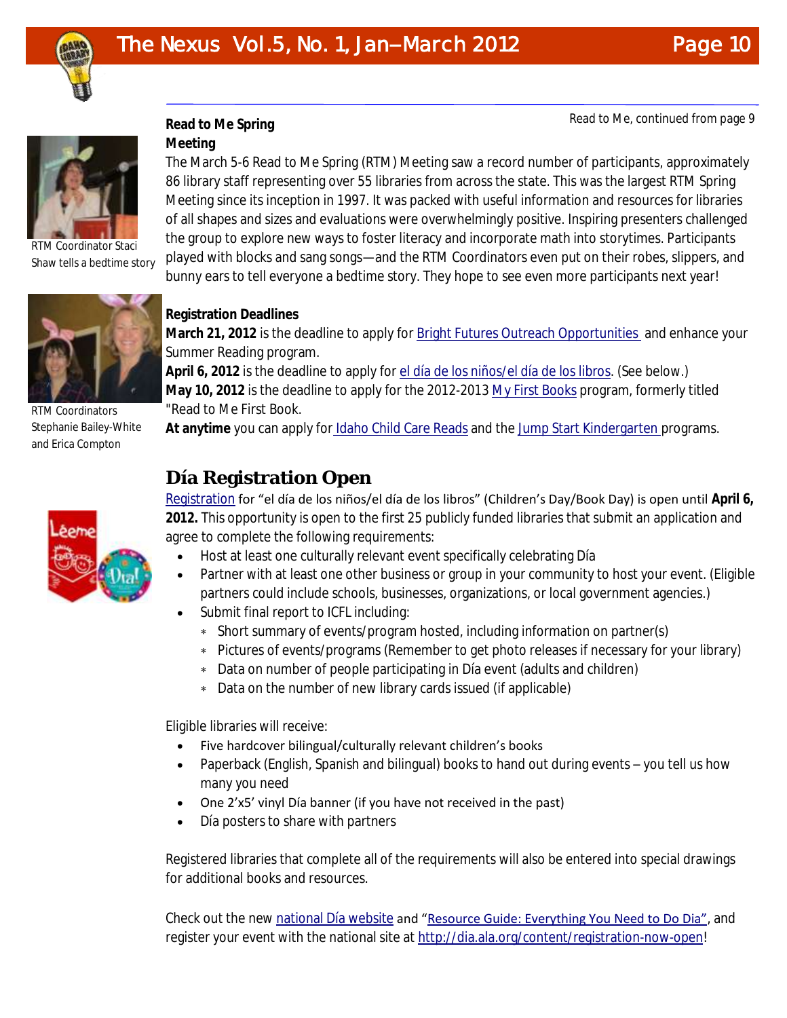

Read to Me, continued from page 9



RTM Coordinator Staci Shaw tells a bedtime story



RTM Coordinators Stephanie Bailey-White and Erica Compton



## **Read to Me Spring**

**Meeting** 

The March 5-6 Read to Me Spring (RTM) Meeting saw a record number of participants, approximately 86 library staff representing over 55 libraries from across the state. This was the largest RTM Spring Meeting since its inception in 1997. It was packed with useful information and resources for libraries of all shapes and sizes and evaluations were overwhelmingly positive. Inspiring presenters challenged the group to explore new ways to foster literacy and incorporate math into storytimes. Participants played with blocks and sang songs—and the RTM Coordinators even put on their robes, slippers, and bunny ears to tell everyone a bedtime story. They hope to see even more participants next year!

## **Registration Deadlines**

**March 21, 2012** is the deadline to apply for [Bright Futures Outreach Opportunities a](http://libraries.idaho.gov/landing/summer-reading)nd enhance your Summer Reading program.

**April 6, 2012** is the deadline to apply for [el día de los niños/el día de los libros.](http://libraries.idaho.gov/page/el-d%C3%AD-de-los-ni%C3%B1os) (See below.) **May 10, 2012** is the deadline to apply for the 2012-2013 [My First Books](http://libraries.idaho.gov/blogs/stacishaw/my-first-books-formally-read-to-me-first-book-applications-2012-2013) program, formerly titled "Read to Me First Book.

**At anytime** you can apply for [Idaho Child Care Reads](http://libraries.idaho.gov/landing/idaho-child-care-reads) and the [Jump Start Kindergarten p](http://libraries.idaho.gov/landing/jump-start)rograms.

# **Día Registration Open**

[Registration](http://www.surveymonkey.com/s/Dia2012) for "el día de los niños/el día de los libros" (Children's Day/Book Day) is open until **April 6, 2012.** This opportunity is open to the first 25 publicly funded libraries that submit an application and agree to complete the following requirements:

- Host at least one culturally relevant event specifically celebrating Día
- Partner with at least one other business or group in your community to host your event. (Eligible partners could include schools, businesses, organizations, or local government agencies.)
- Submit final report to ICFL including:
	- Short summary of events/program hosted, including information on partner(s)
	- Pictures of events/programs (Remember to get photo releases if necessary for your library)
	- Data on number of people participating in Día event (adults and children)
	- Data on the number of new library cards issued (if applicable)

Eligible libraries will receive:

- Five hardcover bilingual/culturally relevant children's books
- Paperback (English, Spanish and bilingual) books to hand out during events you tell us how many you need
- One 2'x5' vinyl Día banner (if you have not received in the past)
- Día posters to share with partners

Registered libraries that complete all of the requirements will also be entered into special drawings for additional books and resources.

Check out the new [national Día website](http://dia.ala.org/) and "[Resource Guide: Everything You Need to Do Dia",](http://dia.ala.org/sites/dia2.alahost.org/files/ResourceGuide%20UPDATED1-18-12.pdf) and register your event with the national site at [http://dia.ala.org/content/registration-now-open!](http://dia.ala.org/content/registration-now-open)